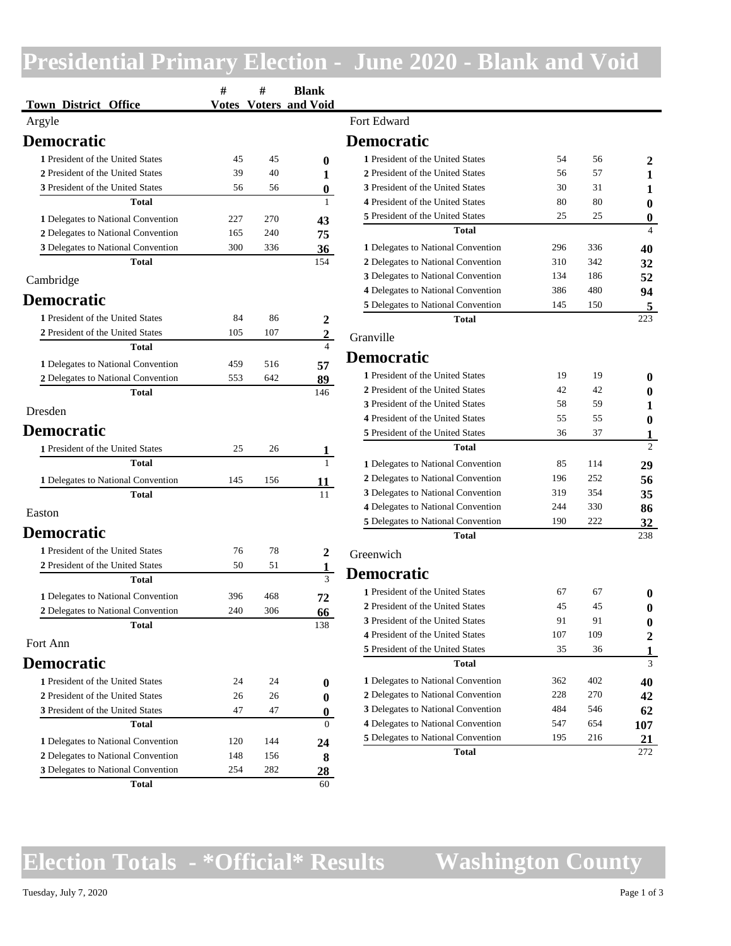### **Presidential Primary Election - June 2020 - Blank and Void**

| <b>Town District Office</b>                                              | #          | #          | <b>Blank</b><br><b>Votes Voters and Void</b> |                                                                      |           |           |                 |
|--------------------------------------------------------------------------|------------|------------|----------------------------------------------|----------------------------------------------------------------------|-----------|-----------|-----------------|
| Argyle                                                                   |            |            |                                              | Fort Edward                                                          |           |           |                 |
| <b>Democratic</b>                                                        |            |            |                                              | <b>Democratic</b>                                                    |           |           |                 |
| 1 President of the United States                                         | 45         | 45         | $\boldsymbol{0}$                             | 1 President of the United States                                     | 54        | 56        |                 |
| 2 President of the United States                                         | 39         | 40         | 1                                            | 2 President of the United States                                     | 56        | 57        |                 |
| 3 President of the United States                                         | 56         | 56         | $\pmb{0}$                                    | 3 President of the United States                                     | 30        | 31        |                 |
| Total                                                                    |            |            | 1                                            | 4 President of the United States                                     | 80        | 80        |                 |
| 1 Delegates to National Convention                                       | 227        | 270        | 43                                           | 5 President of the United States                                     | 25        | 25        |                 |
| 2 Delegates to National Convention                                       | 165        | 240        | 75                                           | <b>Total</b>                                                         |           |           |                 |
| 3 Delegates to National Convention                                       | 300        | 336        | 36                                           | 1 Delegates to National Convention                                   | 296       | 336       | 40              |
| <b>Total</b>                                                             |            |            | 154                                          | 2 Delegates to National Convention                                   | 310       | 342       | 32              |
| Cambridge                                                                |            |            |                                              | 3 Delegates to National Convention                                   | 134       | 186       | 52              |
| <b>Democratic</b>                                                        |            |            |                                              | 4 Delegates to National Convention                                   | 386       | 480       | 94              |
|                                                                          |            |            |                                              | 5 Delegates to National Convention                                   | 145       | 150       |                 |
| 1 President of the United States                                         | 84         | 86         | 2                                            | <b>Total</b>                                                         |           |           | 223             |
| 2 President of the United States<br><b>Total</b>                         | 105        | 107        | $\overline{2}$<br>$\overline{4}$             | Granville                                                            |           |           |                 |
|                                                                          |            |            |                                              | <b>Democratic</b>                                                    |           |           |                 |
| 1 Delegates to National Convention                                       | 459        | 516        | 57                                           | 1 President of the United States                                     | 19        | 19        |                 |
| 2 Delegates to National Convention                                       | 553        | 642        | 89                                           | 2 President of the United States                                     | 42        | 42        |                 |
| <b>Total</b>                                                             |            |            | 146                                          | 3 President of the United States                                     | 58        | 59        |                 |
| Dresden                                                                  |            |            |                                              | 4 President of the United States                                     | 55        | 55        |                 |
| <b>Democratic</b>                                                        |            |            |                                              | 5 President of the United States                                     | 36        | 37        |                 |
| 1 President of the United States                                         | 25         | 26         | 1                                            | <b>Total</b>                                                         |           |           | 0               |
| <b>Total</b>                                                             |            |            |                                              | 1 Delegates to National Convention                                   | 85        | 114       | 29              |
| 1 Delegates to National Convention                                       | 145        | 156        | 11                                           | 2 Delegates to National Convention                                   | 196       | 252       | 56              |
| <b>Total</b>                                                             |            |            | 11                                           | 3 Delegates to National Convention                                   | 319       | 354       | 35              |
| Easton                                                                   |            |            |                                              | 4 Delegates to National Convention                                   | 244       | 330       | 86              |
|                                                                          |            |            |                                              | 5 Delegates to National Convention                                   | 190       | 222       | 32              |
| <b>Democratic</b>                                                        |            |            |                                              | <b>Total</b>                                                         |           |           | 238             |
| 1 President of the United States                                         | 76         | 78         | 2                                            | Greenwich                                                            |           |           |                 |
| 2 President of the United States                                         | 50         | 51         | $\mathbf{1}$                                 | <b>Democratic</b>                                                    |           |           |                 |
| <b>Total</b>                                                             |            |            | $\overline{3}$                               |                                                                      |           |           |                 |
| 1 Delegates to National Convention                                       | 396        | 468        | 72                                           | 1 President of the United States                                     | 67        | 67        |                 |
| 2 Delegates to National Convention                                       | 240        | 306        | 66                                           | 2 President of the United States                                     | 45        | 45        |                 |
| <b>Total</b>                                                             |            |            | 138                                          | 3 President of the United States<br>4 President of the United States | 91<br>107 | 91<br>109 |                 |
| Fort Ann                                                                 |            |            |                                              | 5 President of the United States                                     | 35        | 36        |                 |
| <b>Democratic</b>                                                        |            |            |                                              | <b>Total</b>                                                         |           |           | 3               |
| 1 President of the United States                                         |            |            |                                              | 1 Delegates to National Convention                                   | 362       | 402       |                 |
|                                                                          | 24         | 24         | $\boldsymbol{0}$                             | 2 Delegates to National Convention                                   | 228       | 270       | 40              |
| 2 President of the United States<br>3 President of the United States     | 26<br>47   | 26<br>47   | $\bf{0}$                                     | 3 Delegates to National Convention                                   | 484       | 546       | 42              |
| Total                                                                    |            |            | $\bf{0}$<br>$\overline{0}$                   | 4 Delegates to National Convention                                   | 547       | 654       | 62<br>107       |
|                                                                          |            |            |                                              | 5 Delegates to National Convention                                   | 195       | 216       | $\overline{21}$ |
| 1 Delegates to National Convention                                       | 120        | 144        | 24                                           | <b>Total</b>                                                         |           |           | 272             |
| 2 Delegates to National Convention<br>3 Delegates to National Convention | 148<br>254 | 156<br>282 | 8                                            |                                                                      |           |           |                 |
| Total                                                                    |            |            | <u>28</u><br>60                              |                                                                      |           |           |                 |
|                                                                          |            |            |                                              |                                                                      |           |           |                 |

### **Election Totals - \*Official\* Results Washington County**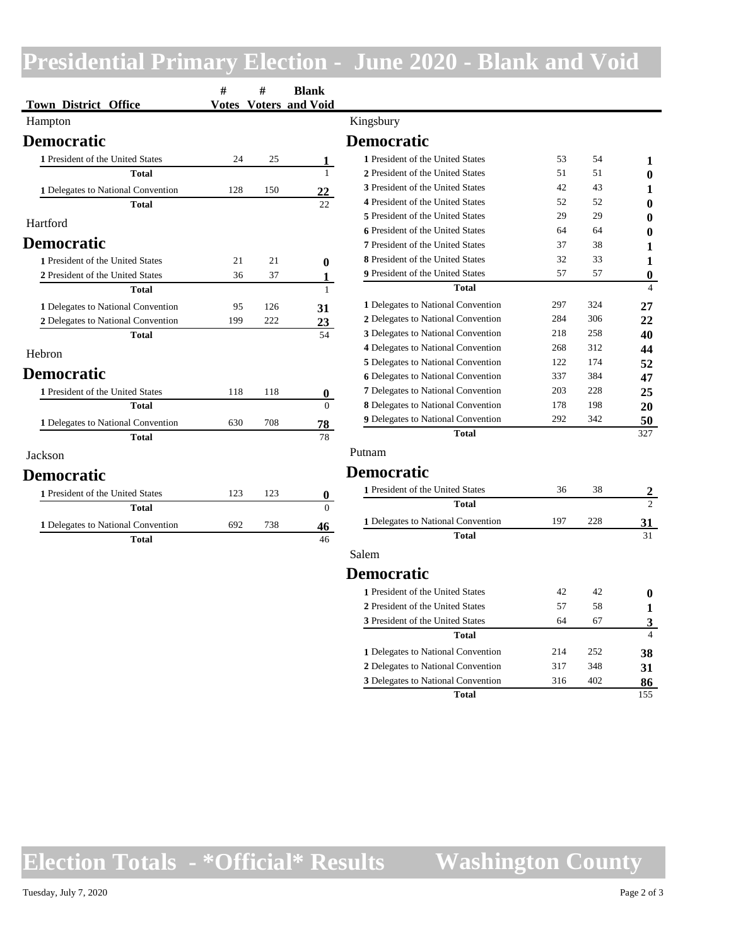## **Presidential Primary Election - June 2020 - Blank and Void**

| <b>Town District Office</b>        | $\#$<br><b>Votes</b> | $\#$ | <b>Blank</b><br><b>Voters and Void</b> |                                           |            |            |              |
|------------------------------------|----------------------|------|----------------------------------------|-------------------------------------------|------------|------------|--------------|
| Hampton                            |                      |      |                                        | Kingsbury                                 |            |            |              |
| <b>Democratic</b>                  |                      |      |                                        | <b>Democratic</b>                         |            |            |              |
| 1 President of the United States   | 24                   | 25   | $\mathbf{1}$                           | 1 President of the United States          | 53         | 54         |              |
| <b>Total</b>                       |                      |      | $\mathbf{1}$                           | 2 President of the United States          | 51         | 51         |              |
| 1 Delegates to National Convention | 128                  | 150  | 22                                     | 3 President of the United States          | 42         | 43         |              |
| <b>Total</b>                       |                      |      | 22.                                    | 4 President of the United States          | 52         | 52         |              |
| Hartford                           |                      |      |                                        | 5 President of the United States          | 29         | 29         |              |
|                                    |                      |      |                                        | <b>6</b> President of the United States   | 64         | 64         |              |
| <b>Democratic</b>                  |                      |      |                                        | 7 President of the United States          | 37         | 38         |              |
| 1 President of the United States   | 21                   | 21   | $\bf{0}$                               | 8 President of the United States          | 32         | 33         |              |
| 2 President of the United States   | 36                   | 37   | 1                                      | 9 President of the United States          | 57         | 57         | $\mathbf{0}$ |
| <b>Total</b>                       |                      |      | $\mathbf{1}$                           | <b>Total</b>                              |            |            | $\Delta$     |
| 1 Delegates to National Convention | 95                   | 126  | 31                                     | 1 Delegates to National Convention        | 297        | 324        | 27           |
| 2 Delegates to National Convention | 199                  | 222  | 23                                     | 2 Delegates to National Convention        | 284        | 306        | 22           |
| <b>Total</b>                       |                      |      | 54                                     | 3 Delegates to National Convention        | 218        | 258        | 40           |
| Hebron                             |                      |      |                                        | 4 Delegates to National Convention        | 268        | 312        | 44           |
|                                    |                      |      |                                        | 5 Delegates to National Convention        | 122        | 174        | 52           |
| <b>Democratic</b>                  |                      |      |                                        | <b>6</b> Delegates to National Convention | 337        | 384        | 47           |
| 1 President of the United States   | 118                  | 118  | $\bf{0}$                               | 7 Delegates to National Convention        | 203        | 228        | 25           |
| <b>Total</b>                       |                      |      | $\Omega$                               | 8 Delegates to National Convention        | 178        | 198        | 20           |
| 1 Delegates to National Convention | 630                  | 708  | 78                                     | 9 Delegates to National Convention        | 292        | 342        | 50           |
| <b>Total</b>                       |                      |      | 78                                     | <b>Total</b>                              |            |            | 327          |
| Jackson                            |                      |      |                                        | Putnam                                    |            |            |              |
| <b>Democratic</b>                  |                      |      |                                        | <b>Democratic</b>                         |            |            |              |
| 1 President of the United States   | 123                  | 123  | $\bf{0}$                               | 1 President of the United States          | 36         | 38         |              |
| <b>Total</b>                       |                      |      | $\Omega$                               | Total                                     |            |            | 2            |
| 1 Delegates to National Convention | 692                  | 738  | 46                                     | 1 Delegates to National Convention        | 197        | 228        | 31           |
| <b>Total</b>                       |                      |      | 46                                     | <b>Total</b>                              |            |            | 31           |
|                                    |                      |      |                                        | Salem                                     |            |            |              |
|                                    |                      |      |                                        | <b>Democratic</b>                         |            |            |              |
|                                    |                      |      |                                        | 1 President of the United States          | 42         | 42         |              |
|                                    |                      |      |                                        | 2 President of the United States          | 57         | 58         |              |
|                                    |                      |      |                                        | $\alpha$ Decoration of the UL in $\alpha$ | $\epsilon$ | $\sqrt{2}$ |              |

|                                    |     |     | .,  |
|------------------------------------|-----|-----|-----|
| 2 President of the United States   | 57  | 58  |     |
| 3 President of the United States   | 64  | 67  |     |
| <b>Total</b>                       |     |     |     |
| 1 Delegates to National Convention | 214 | 252 | 38  |
| 2 Delegates to National Convention | 317 | 348 | 31  |
| 3 Delegates to National Convention | 316 | 402 | 86  |
| Total                              |     |     | 155 |

**Election Totals - \*Official\* Results Washington County**